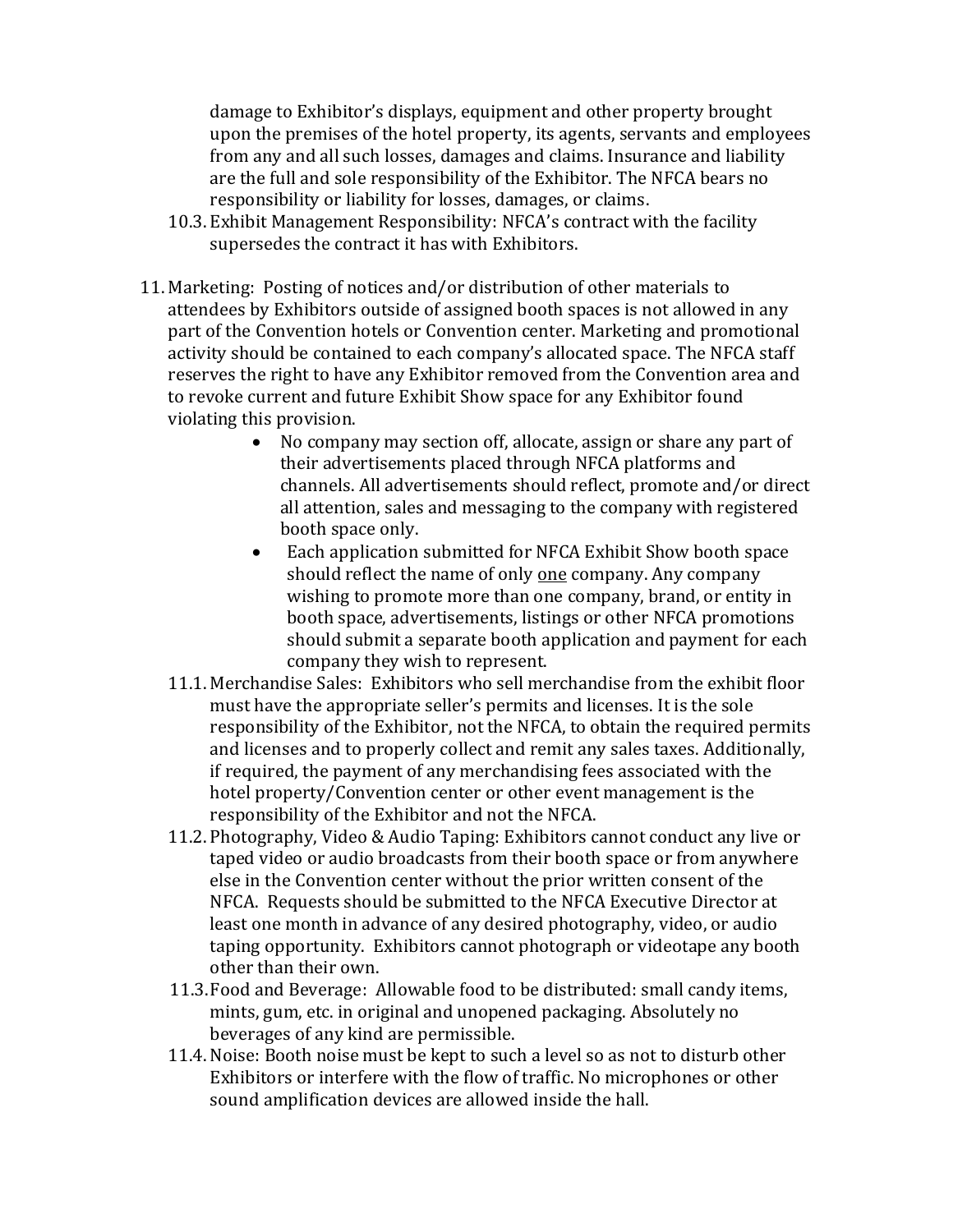damage to Exhibitor's displays, equipment and other property brought upon the premises of the hotel property, its agents, servants and employees from any and all such losses, damages and claims. Insurance and liability are the full and sole responsibility of the Exhibitor. The NFCA bears no responsibility or liability for losses, damages, or claims.

- 10.3. Exhibit Management Responsibility: NFCA's contract with the facility supersedes the contract it has with Exhibitors.
- 11. Marketing: Posting of notices and/or distribution of other materials to attendees by Exhibitors outside of assigned booth spaces is not allowed in any part of the Convention hotels or Convention center. Marketing and promotional activity should be contained to each company's allocated space. The NFCA staff reserves the right to have any Exhibitor removed from the Convention area and to revoke current and future Exhibit Show space for any Exhibitor found violating this provision.
	- No company may section off, allocate, assign or share any part of their advertisements placed through NFCA platforms and channels. All advertisements should reflect, promote and/or direct all attention, sales and messaging to the company with registered booth space only.
	- Each application submitted for NFCA Exhibit Show booth space should reflect the name of only one company. Any company wishing to promote more than one company, brand, or entity in booth space, advertisements, listings or other NFCA promotions should submit a separate booth application and payment for each company they wish to represent.
	- 11.1. Merchandise Sales: Exhibitors who sell merchandise from the exhibit floor must have the appropriate seller's permits and licenses. It is the sole responsibility of the Exhibitor, not the NFCA, to obtain the required permits and licenses and to properly collect and remit any sales taxes. Additionally, if required, the payment of any merchandising fees associated with the hotel property/Convention center or other event management is the responsibility of the Exhibitor and not the NFCA.
	- 11.2. Photography, Video & Audio Taping: Exhibitors cannot conduct any live or taped video or audio broadcasts from their booth space or from anywhere else in the Convention center without the prior written consent of the NFCA. Requests should be submitted to the NFCA Executive Director at least one month in advance of any desired photography, video, or audio taping opportunity. Exhibitors cannot photograph or videotape any booth other than their own.
	- 11.3.Food and Beverage: Allowable food to be distributed: small candy items, mints, gum, etc. in original and unopened packaging. Absolutely no beverages of any kind are permissible.
	- 11.4. Noise: Booth noise must be kept to such a level so as not to disturb other Exhibitors or interfere with the flow of traffic. No microphones or other sound amplification devices are allowed inside the hall.